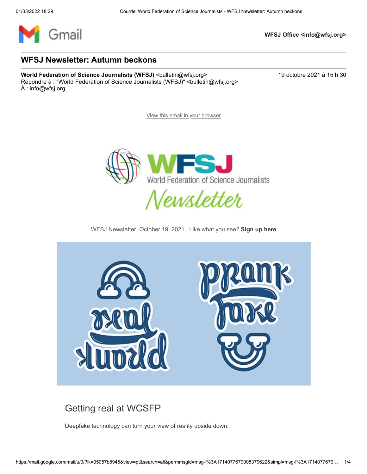

**WFSJ Office <info@wfsj.org>**

#### **WFSJ Newsletter: Autumn beckons**

**World Federation of Science Journalists (WFSJ)** <br/>
<br/>
<br/>
<br/>
<br/>
<br/>
<br/>
<br/>
<br/>
Morld Federation of Science Journalists (WFSJ) <br/>
<br/>
<br/>
<br/>
<br/>
<br/>
<br/>
<br/>
<br/>
<br/>
<br/>
<br/> Répondre à : "World Federation of Science Journalists (WFSJ)" <br/>bulletin@wfsj.org> À : info@wfsj.org

[View this email in your browser](https://mailchi.mp/wfsj/wfsj-newsletter-jumping-into-july-5664569?e=5575ecfde9)



WFSJ Newsletter: October 19, 2021 | Like what you see? **[Sign up here](https://wfsj.us2.list-manage.com/track/click?u=a8d11a901ac032467f5aed649&id=749b08e573&e=5575ecfde9)**



#### [Getting real at WCSFP](https://wfsj.us2.list-manage.com/track/click?u=a8d11a901ac032467f5aed649&id=824f1b52d1&e=5575ecfde9)

[Deepfake technology can turn your view of reality upside down.](https://wfsj.us2.list-manage.com/track/click?u=a8d11a901ac032467f5aed649&id=5c5eb919e9&e=5575ecfde9)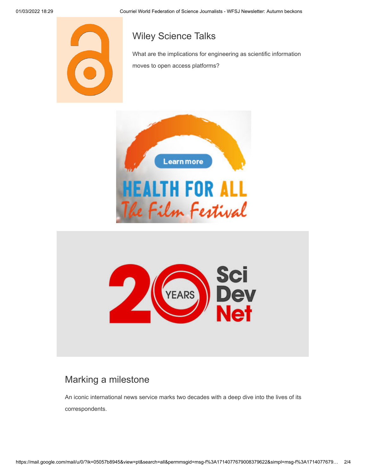

### [Wiley Science Talks](https://wfsj.us2.list-manage.com/track/click?u=a8d11a901ac032467f5aed649&id=2a6be4166d&e=5575ecfde9)

[What are the implications for engineering as scientific information](https://wfsj.us2.list-manage.com/track/click?u=a8d11a901ac032467f5aed649&id=6c24635f99&e=5575ecfde9) moves to open access platforms?





#### [Marking a milestone](https://wfsj.us2.list-manage.com/track/click?u=a8d11a901ac032467f5aed649&id=2a66fb5da0&e=5575ecfde9)

[An iconic international news service marks two decades with a deep dive into the lives of its](https://wfsj.us2.list-manage.com/track/click?u=a8d11a901ac032467f5aed649&id=d8c51f741b&e=5575ecfde9) correspondents.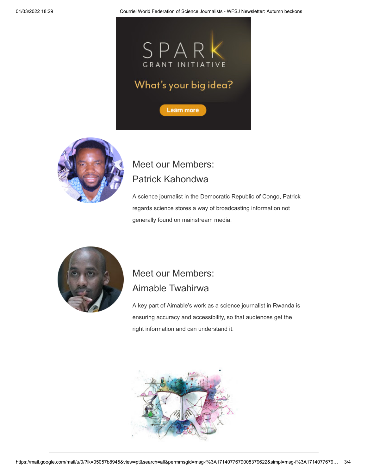01/03/2022 18:29 Courriel World Federation of Science Journalists - WFSJ Newsletter: Autumn beckons





# [Meet our Members:](https://wfsj.us2.list-manage.com/track/click?u=a8d11a901ac032467f5aed649&id=ac80324cac&e=5575ecfde9) Patrick Kahondwa

[A science journalist in the Democratic Republic of Congo, Patrick](https://wfsj.us2.list-manage.com/track/click?u=a8d11a901ac032467f5aed649&id=2e4ba7e2e3&e=5575ecfde9) regards science stores a way of broadcasting information not generally found on mainstream media.



## [Meet our Members:](https://wfsj.us2.list-manage.com/track/click?u=a8d11a901ac032467f5aed649&id=f9d46e9d9e&e=5575ecfde9)  Aimable Twahirwa

[A key part of Aimable's work as a science journalist in Rwanda is](https://wfsj.us2.list-manage.com/track/click?u=a8d11a901ac032467f5aed649&id=2dba361eb3&e=5575ecfde9) ensuring accuracy and accessibility, so that audiences get the right information and can understand it.